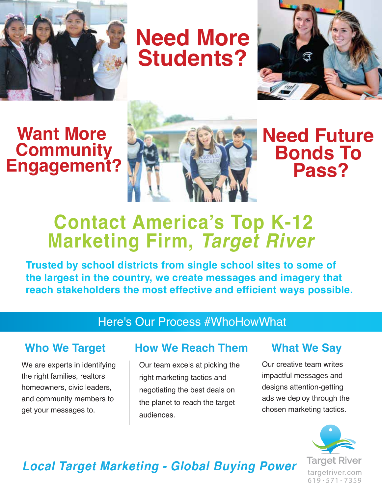

**Need More Students?**



# **Want More Community Engagement?**



**Need Future Bonds To Pass?**

# **Contact America's Top K-12 Marketing Firm,** *Target River*

**Trusted by school districts from single school sites to some of the largest in the country, we create messages and imagery that reach stakeholders the most effective and efficient ways possible.** 

### Here's Our Process #WhoHowWhat

We are experts in identifying the right families, realtors homeowners, civic leaders, and community members to get your messages to.

### **Who We Target How We Reach Them What We Say**

Our team excels at picking the right marketing tactics and negotiating the best deals on the planet to reach the target audiences.

Our creative team writes impactful messages and designs attention-getting ads we deploy through the chosen marketing tactics.



# *Local Target Marketing - Global Buying Power*